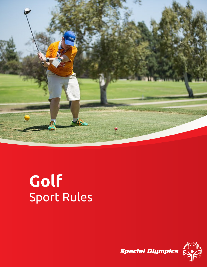

# **Golf** Sport Rules

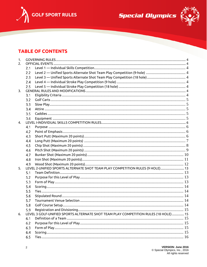



## **TABLE OF CONTENTS**

| 1. |     |                                                                                                      |  |
|----|-----|------------------------------------------------------------------------------------------------------|--|
| 2. |     |                                                                                                      |  |
|    | 2.1 |                                                                                                      |  |
|    | 2.2 | Level 2 — Unified Sports Alternate Shot Team Play Competition (9-hole) …………………………………………………………………………… |  |
|    | 2.3 |                                                                                                      |  |
|    | 2.4 |                                                                                                      |  |
|    | 2.5 |                                                                                                      |  |
| 3. |     |                                                                                                      |  |
|    | 3.1 |                                                                                                      |  |
|    | 3.2 |                                                                                                      |  |
|    | 3.3 |                                                                                                      |  |
|    | 3.4 |                                                                                                      |  |
|    | 3.5 |                                                                                                      |  |
|    | 3.6 |                                                                                                      |  |
| 4. |     |                                                                                                      |  |
|    | 4.1 |                                                                                                      |  |
|    | 4.2 |                                                                                                      |  |
|    | 4.3 |                                                                                                      |  |
|    | 4.4 |                                                                                                      |  |
|    | 4.5 |                                                                                                      |  |
|    | 4.6 |                                                                                                      |  |
|    | 4.7 |                                                                                                      |  |
|    | 4.8 |                                                                                                      |  |
|    | 4.9 |                                                                                                      |  |
| 5. |     | LEVEL 2-UNIFIED SPORTS ALTERNATE SHOT TEAM PLAY COMPETITION RULES (9 HOLE) 13                        |  |
|    | 5.1 |                                                                                                      |  |
|    | 5.2 |                                                                                                      |  |
|    | 5.3 |                                                                                                      |  |
|    | 5.4 |                                                                                                      |  |
|    | 5.5 |                                                                                                      |  |
|    | 5.6 |                                                                                                      |  |
|    | 5.7 |                                                                                                      |  |
|    | 5.8 |                                                                                                      |  |
|    | 5.9 |                                                                                                      |  |
| 6. |     | LEVEL 3 GOLF-UNIFIED SPORTS ALTERNATE SHOT TEAM PLAY COMPETITION RULES (18 HOLE)  15                 |  |
|    | 6.1 |                                                                                                      |  |
|    | 6.2 |                                                                                                      |  |
|    | 6.3 |                                                                                                      |  |
|    | 6.4 |                                                                                                      |  |
|    | 6.5 |                                                                                                      |  |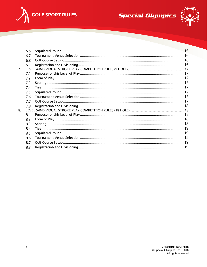





|                | 6.6 |  |
|----------------|-----|--|
|                | 6.7 |  |
|                | 6.8 |  |
|                | 6.9 |  |
| 7 <sub>1</sub> |     |  |
|                | 7.1 |  |
|                | 7.2 |  |
|                | 7.3 |  |
|                | 7.4 |  |
|                | 7.5 |  |
|                | 7.6 |  |
|                | 7.7 |  |
|                | 7.8 |  |
| $\mathbf{8}$   |     |  |
|                | 8.1 |  |
|                | 8.2 |  |
|                | 8.3 |  |
|                | 8.4 |  |
|                | 8.5 |  |
|                | 8.6 |  |
|                | 8.7 |  |
|                | 8.8 |  |
|                |     |  |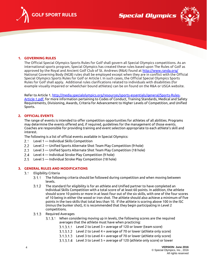



## <span id="page-3-0"></span>**1. GOVERNING RULES**

The Official Special Olympics Sports Rules for Golf shall govern all Special Olympics competitions. As an international sports program, Special Olympics has created these rules based upon The Rules of Golf as approved by the Royal and Ancient Golf Club of St. Andrews (R&A) found a[t http://www.randa.org/](http://www.randa.org/)  National Governing Body (NGB) rules shall be employed except when they are in conflict with the Official Special Olympics Sports Rules for Golf or Article I. In such cases, the Official Special Olympics Sports Rules for Golf shall apply. Additional rules clarifications related to individuals with disabilities (for example visually impaired or wheelchair bound athletes) can be on found on the R&A or USGA website.

Refer to Article 1[, http://media.specialolympics.org/resources/sports-essentials/general/Sports-Rules-](http://media.specialolympics.org/resources/sports-essentials/general/Sports-Rules-Article-1.pdf)[Article-1.pdf,](http://media.specialolympics.org/resources/sports-essentials/general/Sports-Rules-Article-1.pdf) for more information pertaining to Codes of Conduct, Training Standards, Medical and Safety Requirements, Divisioning, Awards, Criteria for Advancement to Higher Levels of Competition, and Unified Sports.

## <span id="page-3-1"></span>**2. OFFICIAL EVENTS**

The range of events is intended to offer competition opportunities for athletes of all abilities. Programs may determine the events offered and, if required, guidelines for the management of those events. Coaches are responsible for providing training and event selection appropriate to each athlete's skill and interest.

The following is a list of official events available in Special Olympics:

- <span id="page-3-2"></span> $2.1$ Level 1 — Individual Skills Competition
- <span id="page-3-3"></span> $2.2$ Level 2 — Unified Sports Alternate Shot Team Play Competition (9-hole)
- <span id="page-3-4"></span> $2.3$ Level 3 — Unified Sports Alternate Shot Team Play Competition (18 hole)
- <span id="page-3-5"></span>Level 4 — Individual Stroke Play Competition (9 hole)
- <span id="page-3-6"></span>Level 5 — Individual Stroke Play Competition (18 hole)

## <span id="page-3-8"></span><span id="page-3-7"></span>**3. GENERAL RULES AND MODIFICATIONS**

- $3.1$ Eligibility Criteria
	- The following criteria should be followed during competition and when moving between  $3.1.1$ levels.
	- $3.1.2$ The standard for eligibility is for an athlete and Unified partner to have completed an Individual Skills Competition with a total score of at least 60 points. In addition, the athlete should score 10 points or more in at least four out of the six skills, with one of the four scores of 10 being in either the wood or iron shot. The athlete should also achieve a minimum of five points in the two skills that total less than 10. If the athlete is scoring above 100 in the ISC (minus the bunker shot), it is recommended that they begin participating in Level 2 competitions.
	- 3.1.3 Required Averages
		- 3.1.3.1 When considering moving up in levels, the following scores are the required averages that the athlete must have when practicing:
			- $3.1.3.1.1$  Level 2 to Level  $3 =$  average of 120 or lower (team score)
			- $3.1.3.1.2$  Level 2 to Level 4 = average of 70 or lower (athlete only score)
			- $3.1.3.1.3$  Level 3 to Level 4 = average of 70 or lower (athlete only score)
			- Level 3 to Level 5 = average of 120 (athlete only score) or lower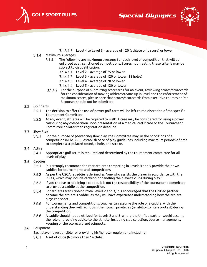

**Special Olympics** 



Level 4 to Level 5 = average of 120 (athlete only score) or lower

#### $3.1.4$ Maximum Averages

- 3.1.4.1 The following are maximum averages for each level of competition that will be enforced at all sanctioned competitions. Scores not meeting these criteria may be subject to disqualification.
	- $3.1.4.1.1$  Level  $2$  average of 75 or lower
	- $3.1.4.1.2$  Level  $3$  average of 120 or lower (18 holes)
	- $3.1.4.1.3$  Level  $4$  average of 70 or lower
	- $3.1.4.1.4$  Level 5 average of 120 or lower
- For the purpose of submitting scorecards for an event, reviewing scores/scorecards for the consideration of moving athletes/teams up in level and the enforcement of maximum scores, please note that scores/scorecards from executive courses or Par 3 courses should not be submitted.

## <span id="page-4-0"></span>3.2 Golf Carts

- $3.2.1$ The decision to offer the use of power golf carts will be left to the discretion of the specific Tournament Committee.
- At any event, athletes will be required to walk. A case may be considered for using a power  $3.2.2$ cart during any competition upon presentation of a medical certificate to the Tournament Committee no later than registration deadline.

#### <span id="page-4-1"></span> $3.3$ Slow Play

 $3.3.1$ For the purpose of preventing slow play, the Committee may, in the conditions of a competition (Rule 33-1), establish pace of play guidelines including maximum periods of time to complete a stipulated round, a hole, or a stroke.

## <span id="page-4-2"></span>3.4 Attire

 $3.4.1$ Appropriate golf attire is required and determined by the tournament committee for all levels of play.

#### <span id="page-4-3"></span> $3.5$ Caddies

- $3.5.1$ It is strongly recommended that athletes competing in Levels 4 and 5 provide their own caddies for tournaments and competitions.
- $3.5.2$ As per the USGA, a caddie is defined as "one who assists the player in accordance with the Rules, which may include carrying or handling the player's clubs during play."
- $3.5.3$ If you choose to not bring a caddie, it is not the responsibility of the tournament committee to provide a caddie at the competition.
- $3.5.4$ For athletes transitioning from Levels 2 and 3, it is encouraged that the Unified partner become the athlete's caddie, as they will have experience understanding how the athlete plays the sport.
- $3.5.5$ For tournaments and competitions, coaches can assume the role of a caddie, with the understanding they will relinquish their coach privileges (ie. ability to file a protest) during the competition.
- A caddie should not be utilized for Levels 2 and 3, where the Unified partner would assume  $3.5.6$ the role of providing advice to the athlete, including club selection, course management, keeping of the scorecard and etiquette.

#### <span id="page-4-4"></span> $3.6$ Equipment

Each player is responsible for providing his/her own equipment, including:

A set of clubs (No more than 14 clubs)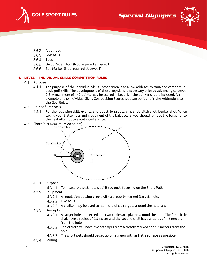



- $3.6.2$ A golf bag
- $3.6.3$ Golf balls
- $3.6.4$ Tees
- $3.6.5$ Divot Repair Tool (Not required at Level 1)
- $3.6.6$ Ball Marker (Not required at Level 1)

## <span id="page-5-1"></span><span id="page-5-0"></span>**4. LEVEL I - INDIVIDUAL SKILLS COMPETITION RULES**

#### 4.1 Purpose

- $4.1.1$ The purpose of the Individual Skills Competition is to allow athletes to train and compete in basic golf skills. The development of these key skills is necessary prior to advancing to Level 2-5. A maximum of 140 points may be scored in Level I, if the bunker shot is included. An example of the Individual Skills Competition Scoresheet can be found in the Addendum to the Golf Rules.
- <span id="page-5-2"></span>4.2 Point of Emphasis
	- $4.2.1$ For the following skills events: short putt, long putt, chip shot, pitch shot, bunker shot. When taking your 5 attempts and movement of the ball occurs, you should remove the ball prior to the next attempt to avoid interference.
- <span id="page-5-3"></span> $4.3$ Short Putt (Maximum 20 points)



#### $4.3.1$ Purpose

- 4.3.1.1 To measure the athlete's ability to putt, focusing on the Short Putt.
- $4.3.2$ Equipment
	- 4.3.2.1 A regulation putting green with a properly marked (target) hole.
	- 4.3.2.2 Five balls.
	- 4.3.2.3 A chalker may be used to mark the circle targets around the hole; and

#### $4.3.3$ **Description**

- A target hole is selected and two circles are placed around the hole. The first circle shall have a radius of 0.5 meter and the second shall have a radius of 1.5 meters from the hole.
- 4.3.3.2 The athlete will have five attempts from a clearly marked spot, 2 meters from the hole.
- 4.3.3.3 The short putt should be set up on a green with as flat a surface as possible.
- $4.3.4$ Scoring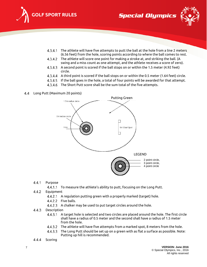



- 4.3.4.1 The athlete will have five attempts to putt the ball at the hole from a line 2 meters (6.56 feet) from the hole, scoring points according to where the ball comes to rest.
- 4.3.4.2 The athlete will score one point for making a stroke at, and striking the ball. (A swing and a miss count as one attempt, and the athlete receives a score of zero).
- 4.3.4.3 A second point is scored if the ball stops on or within the 1.5 meter (4.92 feet) circle.
- A third point is scored if the ball stops on or within the 0.5 meter (1.64 feet) circle.
- 4.3.4.5 If the ball goes in the hole, a total of four points will be awarded for that attempt.
- 4.3.4.6 The Short Putt score shall be the sum total of the five attempts.
- <span id="page-6-0"></span>Long Putt (Maximum 20 points)



- $4.4.1$ Purpose
	- 4.4.1.1 To measure the athlete's ability to putt, focusing on the Long Putt.
- $4.4.2$ Equipment
	- 4.4.2.1 A regulation putting green with a properly marked (target) hole.
	- 4.4.2.2 Five balls.
	- 4.4.2.3 A chalker may be used to put target circles around the hole.
- 4.4.3 Description
	- $4.4.3.1$ A target hole is selected and two circles are placed around the hole. The first circle shall have a radius of 0.5 meter and the second shall have a radius of 1.5 meter from the hole.
	- 4.4.3.2 The athlete will have five attempts from a marked spot, 8 meters from the hole.
	- The Long Putt should be set up on a green with as flat a surface as possible. Note: Putting up hill is recommended.
- $4.4.4$ Scoring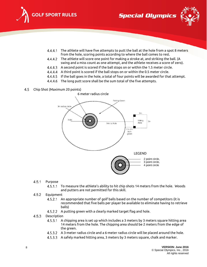





- 4.4.4.1 The athlete will have five attempts to putt the ball at the hole from a spot 8 meters from the hole, scoring points according to where the ball comes to rest.
- 4.4.4.2 The athlete will score one point for making a stroke at, and striking the ball. (A swing and a miss count as one attempt, and the athlete receives a score of zero).
- 4.4.4.3 A second point is scored if the ball stops on or within the 1.5 meter circle.
- A third point is scored if the ball stops on or within the 0.5 meter circle.
- If the ball goes in the hole, a total of four points will be awarded for that attempt.
- 4.4.4.6 The long putt score shall be the sum total of the five attempts.

#### <span id="page-7-0"></span>4.5 Chip Shot (Maximum 20 points)



#### $4.5.1$ Purpose

To measure the athlete's ability to hit chip shots 14 meters from the hole. Woods  $4.5.1.1$ and putters are not permitted for this skill.

#### $4.5.2$ Equipment

- $4.5.2.1$ An appropriate number of golf balls based on the number of competitors (it is recommended that five balls per player be available to eliminate having to retrieve balls)
- 4.5.2.2 A putting green with a clearly marked target flag and hole.

#### 4.5.3 **Description**

- A chipping area is set up which includes a 3 meters by 3 meters square hitting area  $4.5.3.1$ 14 meters from the hole. The chipping area should be 2 meters from the edge of the green.
- A 3-meter radius circle and a 6-meter radius circle will be placed around the hole.
- 4.5.3.3 A safely marked hitting area, 3 meters by 3 meters square, chalk and marker.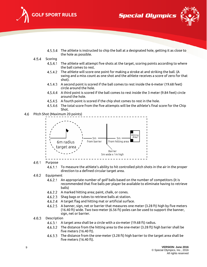





- 4.5.3.4 The athlete is instructed to chip the ball at a designated hole, getting it as close to the hole as possible.
- $4.5.4$ Scoring
	- $4.5.4.1$ The athlete will attempt five shots at the target, scoring points according to where the ball comes to rest.
	- The athlete will score one point for making a stroke at and striking the ball. (A  $4.5.4.2$ swing and a miss count as one shot and the athlete receives a score of zero for that shot).
	- A second point is scored if the ball comes to rest inside the 6-meter (19.68 feet) circle around the hole.
	- A third point is scored if the ball comes to rest inside the 3 meter (9.84 feet) circle around the hole.
	- A fourth point is scored if the chip shot comes to rest in the hole.
	- 4.5.4.6 The total score from the five attempts will be the athlete's final score for the Chip Shot.
- <span id="page-8-0"></span>4.6 Pitch Shot (Maximum 20 points)



#### 4.6.1 Purpose

 $4.6.1.1$ To measure the athlete's ability to hit controlled pitch shots in the air in the proper direction to a defined circular target area.

#### 4.6.2 **Equipment**

- An appropriate number of golf balls based on the number of competitors (it is  $4.6.2.1$ recommended that five balls per player be available to eliminate having to retrieve balls)
- A marked hitting area; paint, chalk, or cones.
- 4.6.2.3 Shag bags or tubes to retrieve balls at station.
- A target flag and hitting mat or artificial surface.
- 4.6.2.5 A banner, sign, net or barrier that measures one meter (3.28 ft) high by five meters (16.40 ft) wide. Two two-meter (6.56 ft) poles can be used to support the banner, sign, net or barrier.

#### 4.6.3 Description

- A target area shall be a circle with a six-meter (19.68 ft) radius.
- 4.6.3.2 The distance from the hitting area to the one-meter (3.28 ft) high barrier shall be five meters (16.40 ft).
- 4.6.3.3 The distance from the one-meter (3.28 ft) high barrier to the target area shall be five meters (16.40 ft).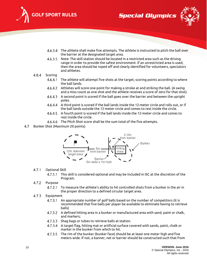





- 4.6.3.4 The athlete shall make five attempts. The athlete is instructed to pitch the ball over the barrier at the designated target area.
- Note: The skill station should be located in a restricted area such as the driving range in order to provide the safest environment. If an unrestricted area is used, then the area should be roped off and clearly identified for volunteers, spectators and athletes.

#### 4.6.4 Scoring

- $4.6.4.1$ The athlete will attempt five shots at the target, scoring points according to where the ball lands.
- Athletes will score one point for making a stroke at and striking the ball. (A swing and a miss count as one shot and the athlete receives a score of zero for that shot).
- A second point is scored if the ball goes over the barrier and between the upright poles.
- A third point is scored if the ball lands inside the 12-meter circle and rolls out, or if the ball lands outside the 12-meter circle and comes to rest inside the circle.
- A fourth point is scored if the ball lands inside the 12-meter circle and comes to rest inside the circle.
- 4.6.4.6 The Pitch Shot score shall be the sum total of the five attempts.
- <span id="page-9-0"></span>4.7 Bunker Shot (Maximum 20 points)



#### $4.7.1$ Optional Skill

This skill is considered optional and may be included in ISC at the discretion of the Program.

#### $4.7.2$ Purpose

- 4.7.2.1 To measure the athlete's ability to hit controlled shots from a bunker in the air in the proper direction to a defined circular target area.
- 4.7.3 **Equipment** 
	- An appropriate number of golf balls based on the number of competitors (it is  $4.7.3.1$ recommended that five balls per player be available to eliminate having to retrieve balls)
	- A defined hitting area in a bunker or manufactured area with sand, paint or chalk, and markers;
	- 4.7.3.3 Shag bags or tubes to retrieve balls at station.
	- A target flag, hitting mat or artificial surface covered with sands, paint, chalk or marker in the bunker from which to hit.
	- 4.7.3.5 The rim of the bunker (bunker face) should be at least one meter high and five meters wide. If not, a banner, net or barrier should be constructed such that from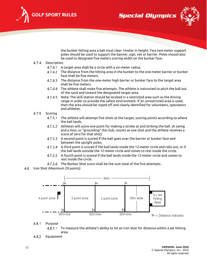

**Special Olympics** 



the bunker hitting area a ball must clear 1meter in height. Two two-meter support poles should be used to support the banner, sign, net or barrier. Poles should also be used to designate five meters scoring width on the bunker face.

- $4.7.4$ Description
	- 4.7.4.1 A target area shall be a circle with a six-meter radius.
	- 4.7.4.2 The distance from the hitting area in the bunker to the one-meter barrier or bunker face shall be five meters.
	- 4.7.4.3 The distance from the one-meter high barrier or bunker face to the target area shall be five meters.
	- The athlete shall make five attempts. The athlete is instructed to pitch the ball out 4.7.4.4 of the sand and toward the designated target area.
	- 4.7.4.5 Note: The skill station should be located in a restricted area such as the driving range in order to provide the safest environment. If an unrestricted area is used, then the area should be roped off and clearly identified for volunteers, spectators and athletes.
- $4.7.5$ Scoring
	- $4.7.5.1$ The athlete will attempt five shots at the target, scoring points according to where the ball lands.
	- 4.7.5.2 Athletes will score one point for making a stroke at and striking the ball. (A swing and a miss, or "grounding" the club, counts as one shot and the athlete receives a score of zero for that shot).
	- 4.7.5.3 A second point is scored if the ball goes over the barrier or bunker face and between the upright poles.
	- A third point is scored if the ball lands inside the 12-meter circle and rolls out, or if the ball lands outside the 12-meter circle and comes to rest inside the circle.
	- A fourth point is scored if the ball lands inside the 12-meter circle and comes to rest inside the circle.
	- 4.7.5.6 The Bunker Shot score shall be the sum total of the five attempts.
- <span id="page-10-0"></span>4.8 Iron Shot (Maximum 20 points)



 $4.8.1$ Purpose

> 4.8.1.1 To measure the athlete's ability to hit an iron shot for distance within a set hitting area.

 $4.8.2$ Equipment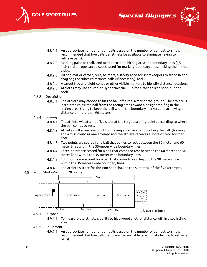





- An appropriate number of golf balls based on the number of competitors (it is recommended that five balls per athlete be available to eliminate having to retrieve balls).
- Marking paint or chalk, and marker to mark hitting area and boundary lines (1/2 inch cord or rope can be substituted for marking boundary lines, making them more visible).
- Hitting mat or carpet, tees, helmets, a safety zone for scorekeepers to stand in and shag bags or tubes to retrieve balls (if necessary); and
- A target flag and eight cones or other visible markers to identify distance locations.
- Athletes may use an Iron or Hybrid/Rescue Club for either an Iron shot, but not both.
- 4.8.3 Description
	- $4.8.3.1$ The athlete may choose to hit the ball off a tee, a mat or the ground. The athlete is instructed to hit the ball from the teeing area toward a designated flag in the hitting area, trying to keep the ball within the boundary markers and achieving a distance of more than 90 meters.
- 4.8.4 Scoring
	- 4.8.4.1 The athlete will attempt five shots at the target, scoring points according to where the ball comes to rest.
	- 4.8.4.2 Athletes will score one point for making a stroke at and striking the ball. (A swing and a miss count as one attempt and the athlete receives a score of zero for that shot).
	- 4.8.4.3 Two points are scored for a ball that comes to rest between the 30 meter and 60 meter lines within the 35-meter wide boundary lines.
	- Three points are scored for a ball that comes to rest between the 60 meter and 90 4.8.4.4 meter lines within the 35-meter wide boundary lines.
	- 4.8.4.5 Four points are scored for a ball that comes to rest beyond the 90 meters line within the 35-meters wide boundary lines.
	- 4.8.4.6 The athlete's score for the Iron Shot shall be the sum total of the five attempts.
- <span id="page-11-0"></span>Wood Shot (Maximum 20 points)



 $4.9.1$ Purpose

> 4.9.1.1 To measure the athlete's ability to hit a wood shot for distance within a set hitting area.

#### 4.9.2 Equipment

 $4.9.2.1$ An appropriate number of golf balls based on the number of competitors (it is recommended that five balls per player be available to eliminate having to retrieve balls).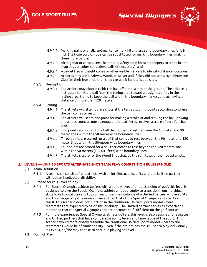





- Marking paint or chalk, and marker to mark hitting area and boundary lines (a 1/2 inch (1.27 cm) cord or rope can be substituted for marking boundary lines, making them more visible).
- Hitting mat or carpet, tees, helmets, a safety zone for scorekeepers to stand in and shag bags or tubes to retrieve balls (if necessary); and
- A target flag and eight cones or other visible markers to identify distance locations.
- Athletes may use a Fairway Wood, or Driver and if they did not use a Hybrid/Rescue Club for their iron shot, then they can use it for the Wood shot.

#### 4.9.3 **Description**

The athlete may choose to hit the ball off a tee, a mat or the ground. The athlete is 4.9.3.1 instructed to hit the ball from the teeing area toward a designated flag in the hitting area, trying to keep the ball within the boundary markers and achieving a distance of more than 120 meters.

#### 4.9.4 Scoring

- 4.9.4.1 The athlete will attempt five shots at the target, scoring points according to where the ball comes to rest.
- The athlete will score one point for making a stroke at and striking the ball (a swing 4.9.4.2 and a miss count as one attempt, and the athletes receives a score of zero for that shot).
- 4.9.4.3 Two points are scored for a ball that comes to rest between the 60 meter and 90 meter lines within the 50-meter wide boundary lines.
- 4.9.4.4 Three points are scored for a ball that comes to rest between the 90 meter and 120 meter lines within the 50-meter wide boundary lines.
- Four points are scored for a ball that comes to rest beyond the 120 meters line within the 50-meters (164.041 feet) wide boundary lines.
- 4.9.4.6 The athlete's score for the Wood Shot shall be the sum total of the five attempts.

## <span id="page-12-1"></span><span id="page-12-0"></span>**5. LEVEL 2 — UNIFIED SPORTS ALTERNATE SHOT TEAM PLAY COMPETITION RULES (9 HOLE)**

- 5.1 Team Definition
	- $5.1.1$ A team shall consist of one athlete with an intellectual disability and one Unified partner without an intellectual disability.
- <span id="page-12-2"></span>5.2 Purpose for this Level of Play
	- $5.2.1$ For Special Olympics athlete golfers with an entry level of understanding of golf, this level is designed to give the Special Olympics athlete an opportunity to transition from individual skills to individual play and to progress under the guidance of a Unified partner whose ability and knowledge of golf is more advanced than that of the Special Olympics athlete. As a result, this scenario does not function in the traditional Unified Sports model where teammates are expected to be of similar ability. The Unified partner serves as a coach and mentor so that the Special Olympics athlete becomes self-sufficient on the golf course.
	- $5.2.2$ For more experienced Special Olympics athlete golfers, this level is also designed for athletes and Unified partners that have comparable ability levels and knowledge of the sport. This scenario would more closely resemble the traditional Unified Sports model whereby the teammates would be of similar ability. Even if the athlete has the skill set to play individually in Level 4, he/she may choose to continue playing at Level 2.
- <span id="page-12-3"></span>5.3 Form of Play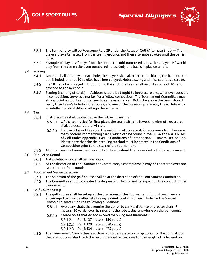





- $5.3.1$ The form of play will be Foursome Rule 29 under the Rules of Golf (Alternate Shot) — The players play alternately from the teeing grounds and then alternate strokes until the ball is holed.
- $5.3.2$ Example: If Player "A" plays from the tee on the odd-numbered holes, then Player "B" would play from the tee on the even-numbered holes. Only one ball is in play on a hole.

## <span id="page-13-0"></span>5.4 Scoring

- $5.4.1$ Once the ball is in play on each hole, the players shall alternate turns hitting the ball until the ball is holed, or until 10 strokes have been played. Note: a swing and miss count as a stroke.
- 5.4.2 If a 10th stroke is played without holing the shot, the team shall record a score of 10x and proceed to the next hole.
- 5.4.3 Scoring (marking of cards) — Athletes should be taught to keep score and, whenever possible in competition, serve as a marker for a fellow competitor. The Tournament Committee may also appoint a volunteer or partner to serve as a marker. Both players on the team should verify their team's hole-by-hole scores, and one of the players -- preferably the athlete with an intellectual disability-- shall sign the scorecard.

## <span id="page-13-1"></span>5.5 Ties

- $5.5.1$ First-place ties shall be decided in the following manner:
	- 5.5.1.1 Of the teams tied for first place, the team with the fewest number of 10x scores shall be declared the winner.
	- If a playoff is not feasible, the matching of scorecards is recommended. There are many options for matching cards, which can be found in the USGA and R & A Rules of Golf under Appendix I Part C: Conditions of Competition — How to Decide Ties. Please note that the tie -breaking method must be stated in the Conditions of Competition prior to the start of the tournament.
- All other ties shall remain as ties and both teams should be presented with the same award.
- <span id="page-13-2"></span>5.6 Stipulated Round
	- $5.6.1$ A stipulated round shall be nine holes.
	- 5.6.2 At the discretion of the Tournament Committee, a championship may be contested over one, two, three or four rounds.
- <span id="page-13-3"></span> $5.7$ Tournament Venue Selection
	- The selection of the golf course shall be at the discretion of the Tournament Committee.  $5.7.1$
	- $5.7.2$ The Committee should consider the degree of difficulty and its impact on the conduct of the tournament.
- <span id="page-13-4"></span>5.8 Golf Course Setup
	- $5.8.1$ The golf course shall be set up at the discretion of the Tournament Committee. They are encouraged to provide alternate teeing ground locations on each hole for the Special Olympics players using the following guidelines:
		- 5.8.1.1 Avoid any shots that require the golfer to carry a distance of greater than 47 meters (50 yards) over hazards or other obstacles, anywhere on the golf course.
		- 5.8.1.2 Create holes that do not exceed following measurements:
			- 5.8.1.2.1 Par 3:137 meters (150 yards)
			- 5.8.1.2.2 Par 4:320 meters (350 yards)
			- 5.8.1.2.3 Par 5:434 meters (475 yards)
	- $5.8.2$ The Tournament Committee is authorized to designate teeing grounds for the competition that are not consistent with the recommended restrictions for the length of holes and for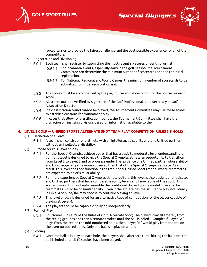

**Special Olympics** 



forced carries to provide the fairest challenge and the best possible experience for all of the competitors.

- <span id="page-14-0"></span>5.9 Registration and Divisioning
	- Each team shall register by submitting the most recent six scores under this format.  $5.9.1$ 
		- 5.9.1.1 For local/area events, especially early in the golf season, the Tournament Committee can determine the minimum number of scorecards needed for initial registration.
		- For National, Regional and World Games, the minimum number of scorecards to be submitted for initial registration is 6.
	- $5.9.2$ The scores must be accompanied by the par, course and slope rating for the course for each score.
	- 5.9.3 All scores must be verified by signature of the Golf Professional, Club Secretary or Golf Association Director.
	- $5.9.4$ If a classification round cannot be played, the Tournament Committee may use these scores to establish divisions for tournament play.
	- 5.9.5 In cases that allow for classification rounds, the Tournament Committee shall have the discretion of finalizing divisions based on information available to them.

## <span id="page-14-2"></span><span id="page-14-1"></span>**6. LEVEL 3 GOLF — UNIFIED SPORTS ALTERNATE SHOT TEAM PLAY COMPETITION RULES (18 HOLE)**

- $6.1$ Definition of a Team
	- $6.1.1$ A team shall consist of one athlete with an intellectual disability and one Unified partner without an intellectual disability.
- <span id="page-14-3"></span>Purpose for this Level of Play  $6.2$ 
	- For the Special Olympics athlete golfer that has a basic to moderate level understanding of  $6.2.1$ golf, this level is designed to give the Special Olympics athlete an opportunity to transition from Level 2 to Level 3 and to progress under the guidance of a Unified partner whose ability and knowledge of golf is more advanced than that of the Special Olympics athlete. As a result, this level does not function in the traditional Unified Sports model where teammates are expected to be of similar ability.
	- $6.2.2$ For more experienced Special Olympics athlete golfers, this level is also designed for athletes and Unified partners that have comparable ability levels and knowledge of the sport. This scenario would more closely resemble the traditional Unified Sports model whereby the teammates would be of similar ability. Even if the athlete has the skill set to play individually in Level 4 or 5, he/she may choose to continue playing at Level 3.
	- This level of play is designed for an alternative type of competition for the player capable of 6.2.3 playing at Level 4.
	- $6.2.4$ The players should be capable of playing independently.
- <span id="page-14-4"></span>6.3 Form of Play
	- $6.3.1$ Foursomes – Rule 29 of the Rules of Golf (Alternate Shot) The players play alternately from the teeing grounds and then alternate strokes until the ball is holed. Example: If Player "A" plays from the tee on the odd-numbered holes, then Player "B" would play from the tee on the even-numbered holes. Only one ball is in play on a hole.
- <span id="page-14-5"></span>6.4 Scoring
	- $6.4.1$ Once the ball is in play on each hole, the players shall alternate turns hitting the ball until the ball is holed or until 10 strokes have been played.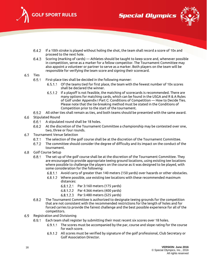

**Special Olympics** 



- $6.4.2$ If a 10th stroke is played without holing the shot, the team shall record a score of 10x and proceed to the next hole.
- Scoring (marking of cards) Athletes should be taught to keep score and, whenever possible 6.4.3 in competition, serve as a marker for a fellow competitor. The Tournament Committee may also appoint a volunteer or partner to serve as a marker. Both players on the team will be responsible for verifying the team score and signing their scorecard.
- <span id="page-15-0"></span> $6.5$ Ties
	- $6.5.1$ First-place ties shall be decided in the following manner:
		- 6.5.1.1 Of the teams tied for first place, the team with the fewest number of 10x scores shall be declared the winner.
		- 6.5.1.2 If a playoff is not feasible, the matching of scorecards is recommended. There are many options for matching cards, which can be found in the USGA and R & A Rules of Golf under Appendix I Part C: Conditions of Competition — How to Decide Ties. Please note that the tie-breaking method must be stated in the Conditions of Competition prior to the start of the tournament.
	- $6.5.2$ All other ties shall remain as ties, and both teams should be presented with the same award.
- <span id="page-15-1"></span> $6.6$ Stipulated Round
	- 6.6.1 A stipulated round shall be 18 holes.
	- At the discretion of the Tournament Committee a championship may be contested over one, 6.6.2 two, three or four rounds.
- <span id="page-15-2"></span> $6.7$ Tournament Venue Selection
	- $6.7.1$ The selection of the golf course shall be at the discretion of the Tournament Committee.
	- $6.7.2$ The committee should consider the degree of difficulty and its impact on the conduct of the tournament.
- <span id="page-15-3"></span> $6.8$ Golf Course Setup
	- $6.8.1$ The set up of the golf course shall be at the discretion of the Tournament Committee. They are encouraged to provide appropriate teeing ground locations, using existing tee locations where possible to challenge the players on the course as it was designed to be played, with some consideration for the following:
		- 6.8.1.1 Avoid carry of greater than 140 meters (150 yards) over hazards or other obstacles.
		- Where possible, use existing tee locations with these recommended maximum distances:
			- Par 3:160 meters (175 yards)
			- 6.8.1.2.2 Par 4:366 meters (400 yards)
			- 6.8.1.2.3 Par 5:480 meters (525 yards)
	- The Tournament Committee is authorized to designate teeing grounds for the competition 6.8.2 that are not consistent with the recommended restrictions for the length of holes and for forced carries to provide the fairest challenge and the best possible experience for all of the competitors.
- <span id="page-15-4"></span>6.9 Registration and Divisioning
	- Each team shall register by submitting their most recent six scores over 18 holes.  $6.9.1$ 
		- 6.9.1.1 The scores must be accompanied by the par, course and slope rating for the course for each score.
		- All scores must be verified by signature of the golf professional, Club Secretary or Golf Association Director.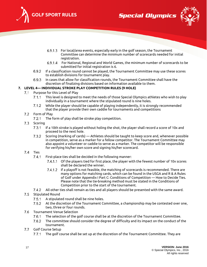





- For local/area events, especially early in the golf season, the Tournament Committee can determine the minimum number of scorecards needed for initial registration.
- For National, Regional and World Games, the minimum number of scorecards to be submitted for initial registration is 6.
- 6.9.2 If a classification round cannot be played, the Tournament Committee may use these scores to establish divisions for tournament play.
- 6.9.3 In cases that allow for classification rounds, the Tournament Committee shall have the discretion of finalizing divisions based on information available to them.

## <span id="page-16-0"></span>**7. LEVEL 4— INDIVIDUAL STROKE PLAY COMPETITION RULES (9 HOLE)**

- <span id="page-16-1"></span>Purpose for this Level of Play  $7.1$ 
	- This level is designed to meet the needs of those Special Olympics athletes who wish to play  $7.1.1$ individually in a tournament where the stipulated round is nine holes.
	- While the player should be capable of playing independently, it is strongly recommended  $7.1.2$ that the player provide their own caddie for tournaments and competitions
- <span id="page-16-2"></span>7.2 Form of Play
	- $7.2.1$ The form of play shall be stroke play competition.
- <span id="page-16-3"></span>7.3 Scoring
	- $7.3.1$ If a 10th stroke is played without holing the shot, the player shall record a score of 10x and proceed to the next hole.
	- $7.3.2$ Scoring (marking of cards) — Athletes should be taught to keep score and, whenever possible in competition, serve as a marker for a fellow competitor. The Tournament Committee may also appoint a volunteer or caddie to serve as a marker. The competitor will be responsible for verifying his/her own score and signing his/her scorecard.
- <span id="page-16-4"></span>7.4 Ties
	- $7.4.1$ First-place ties shall be decided in the following manner:
		- 7.4.1.1 Of the players tied for first place, the player with the fewest number of 10x scores shall be declared the winner.
		- 7.4.1.2 If a playoff is not feasible, the matching of scorecards is recommended. There are many options for matching cards, which can be found in the USGA and R & A Rules of Golf under Appendix I Part C: Conditions of Competition — How to Decide Ties. Please note that the tie-breaking method must be stated in the Conditions of Competition prior to the start of the tournament.
	- All other ties shall remain as ties and all players should be presented with the same award.
- <span id="page-16-5"></span>7.5 Stipulated Round
	- $7.5.1$ A stipulated round shall be nine holes.
	- At the discretion of the Tournament Committee, a championship may be contested over one,  $7.5.2$ two, three or four rounds.
- <span id="page-16-6"></span>Tournament Venue Selection
	- $7.6.1$ The selection of the golf course shall be at the discretion of the Tournament Committee.
	- 7.6.2 The committee should consider the degree of difficulty and its impact on the conduct of the tournament.
- <span id="page-16-7"></span>7.7 Golf Course Setup
	- $7.7.1$ The golf course shall be set up at the discretion of the Tournament Committee. They are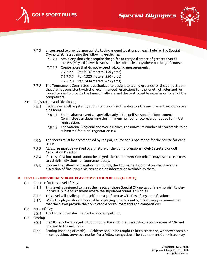

**Special Olympics** 



- $7.7.2$ encouraged to provide appropriate teeing ground locations on each hole for the Special Olympics athletes using the following guidelines:
	- 7.7.2.1 Avoid any shots that require the golfer to carry a distance of greater than 47 meters (50 yards) over hazards or other obstacles, anywhere on the golf course.
	- 7.7.2.2 Create holes that do not exceed following measurements:
		- 7.7.2.2.1 Par 3:137 meters (150 yards)
		- 7.7.2.2.2 Par 4:320 meters (350 yards)
		- 7.7.2.2.3 Par 5:434 meters (475 yards)
- $7.7.3$ The Tournament Committee is authorized to designate teeing grounds for the competition that are not consistent with the recommended restrictions for the length of holes and for forced carries to provide the fairest challenge and the best possible experience for all of the competitors.
- <span id="page-17-0"></span>Registration and Divisioning 7.8
	- $7.8.1$ Each player shall register by submitting a verified handicap or the most recent six scores over nine holes.
		- 7.8.1.1 For local/area events, especially early in the golf season, the Tournament Committee can determine the minimum number of scorecards needed for initial registration.
		- For National, Regional and World Games, the minimum number of scorecards to be submitted for initial registration is 6.
	- 7.8.2 The scores must be accompanied by the par, course and slope rating for the course for each score.
	- 7.8.3 All scores must be verified by signature of the golf professional, Club Secretary or golf Association Director.
	- 7.8.4 If a classification round cannot be played, the Tournament Committee may use these scores to establish divisions for tournament play.
	- $7.8.5$ In cases that allow for classification rounds, the Tournament Committee shall have the discretion of finalizing divisions based on information available to them.

## <span id="page-17-2"></span><span id="page-17-1"></span>**8. LEVEL 5 - INDIVIDUAL STROKE PLAY COMPETITION RULES (18 HOLE)**

- 8.1 Purpose for this Level of Play
	- $8.1.1$ This level is designed to meet the needs of those Special Olympics golfers who wish to play individually in a tournament where the stipulated round is 18 holes.
	- $8.1.2$ This level will challenge the golfer on a golf course with few, if any, modifications.
	- While the player should be capable of playing independently, it is strongly recommended  $8.1.3$ that the player provide their own caddie for tournaments and competitions.
- <span id="page-17-3"></span>8.2 Form of Play
	- $8.2.1$ The form of play shall be stroke play competition.
- <span id="page-17-4"></span>8.3 Scoring
	- If a 10th stroke is played without holing the shot, the player shall record a score of 10x and proceed to the next hole.
	- Scoring (marking of cards) Athletes should be taught to keep score and, whenever possible 8.3.2 in competition, serve as a marker for a fellow competitor. The Tournament Committee may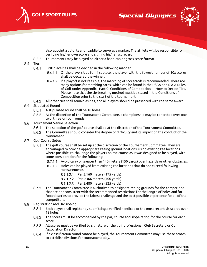

**Special Olympics** 



also appoint a volunteer or caddie to serve as a marker. The athlete will be responsible for verifying his/her own score and signing his/her scorecard.

- 8.3.3 Tournaments may be played on either a handicap or gross score format.
- <span id="page-18-0"></span>8.4 Ties
	- $8.4.1$ First-place ties shall be decided in the following manner:
		- 8.4.1.1 Of the players tied for first place, the player with the fewest number of 10x scores shall be declared the winner.
		- If a playoff is not feasible, the matching of scorecards is recommended. There are many options for matching cards, which can be found in the USGA and R & A Rules of Golf under Appendix I Part C: Conditions of Competition — How to Decide Ties. Please note that the tie-breaking method must be stated in the Conditions of Competition prior to the start of the tournament.
	- All other ties shall remain as ties, and all players should be presented with the same award. 8.4.2

#### <span id="page-18-1"></span>8.5 Stipulated Round

- $8.5.1$ A stipulated round shall be 18 holes.
- $8.5.2$ At the discretion of the Tournament Committee, a championship may be contested over one, two, three or four rounds.
- <span id="page-18-2"></span>8.6 Tournament Venue Selection
	- $8.6.1$ The selection of the golf course shall be at the discretion of the Tournament Committee.
	- 8.6.2 The Committee should consider the degree of difficulty and its impact on the conduct of the tournament.
- <span id="page-18-3"></span>8.7 Golf Course Setup
	- The golf course shall be set up at the discretion of the Tournament Committee. They are  $8.7.1$ encouraged to provide appropriate teeing ground locations, using existing tee locations where possible, to challenge the players on the course as it was designed to be played, with some consideration for the following:
		- 8.7.1.1 Avoid carry of greater than 140 meters (150 yards) over hazards or other obstacles.
		- 8.7.1.2 Holes can be played from existing tee locations that do not exceed following measurements:
			- 8.7.1.2.1 Par 3:160 meters (175 yards)
			- 8.7.1.2.2 Par 4:366 meters (400 yards)
			- 8.7.1.2.3 Par 5:480 meters (525 yards)
	- 8.7.2 The Tournament Committee is authorized to designate teeing grounds for the competition that are not consistent with the recommended restrictions for the length of holes and for forced carries to provide the fairest challenge and the best possible experience for all of the competitors.
- <span id="page-18-4"></span>8.8 Registration and Divisioning
	- 8.8.1 Each player shall register by submitting a verified handicap or the most recent six scores over 18 holes.
	- 8.8.2 The scores must be accompanied by the par, course and slope rating for the course for each score.
	- 8.8.3 All scores must be verified by signature of the golf professional, Club Secretary or Golf Association Director.
	- 8.8.4 If a classification round cannot be played, the Tournament Committee may use these scores to establish divisions for tournament play.